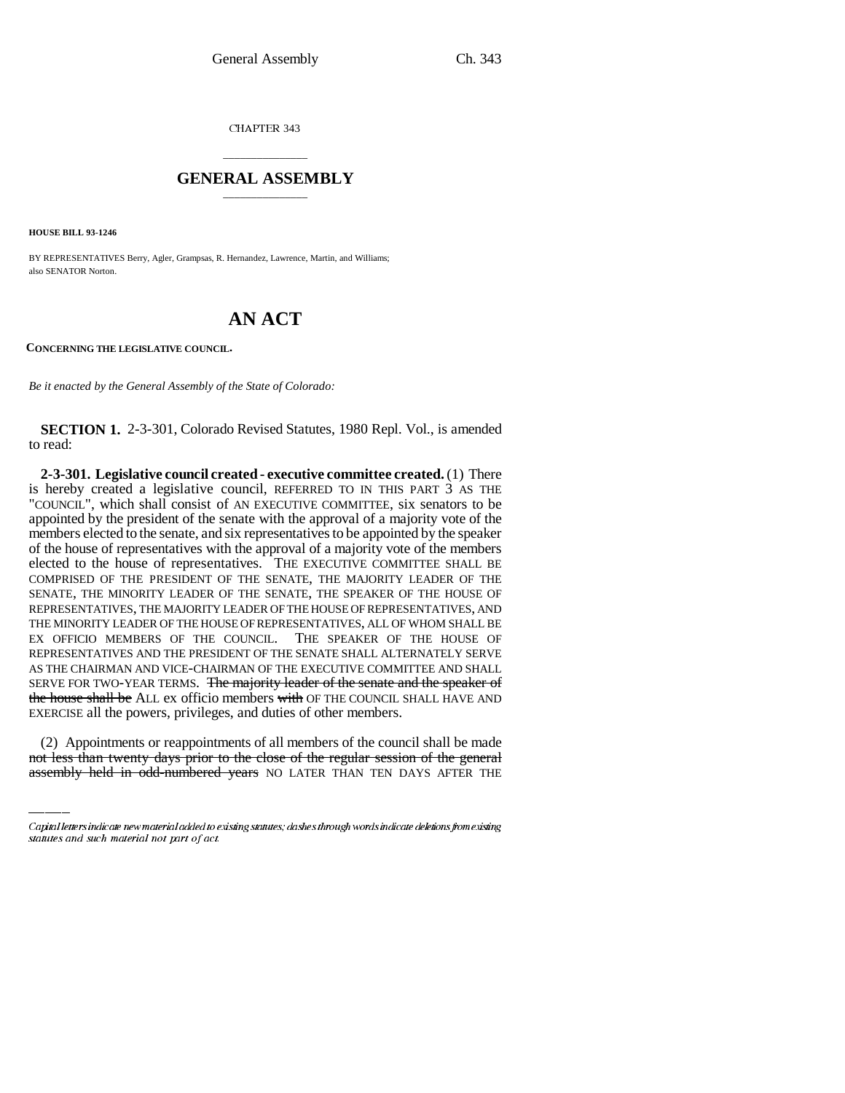CHAPTER 343

## \_\_\_\_\_\_\_\_\_\_\_\_\_\_\_ **GENERAL ASSEMBLY** \_\_\_\_\_\_\_\_\_\_\_\_\_\_\_

**HOUSE BILL 93-1246**

BY REPRESENTATIVES Berry, Agler, Grampsas, R. Hernandez, Lawrence, Martin, and Williams; also SENATOR Norton.

# **AN ACT**

**CONCERNING THE LEGISLATIVE COUNCIL.**

*Be it enacted by the General Assembly of the State of Colorado:*

**SECTION 1.** 2-3-301, Colorado Revised Statutes, 1980 Repl. Vol., is amended to read:

EXERCISE all the powers, privileges, and duties of other members. **2-3-301. Legislative council created - executive committee created.** (1) There is hereby created a legislative council, REFERRED TO IN THIS PART 3 AS THE "COUNCIL", which shall consist of AN EXECUTIVE COMMITTEE, six senators to be appointed by the president of the senate with the approval of a majority vote of the members elected to the senate, and six representatives to be appointed by the speaker of the house of representatives with the approval of a majority vote of the members elected to the house of representatives. THE EXECUTIVE COMMITTEE SHALL BE COMPRISED OF THE PRESIDENT OF THE SENATE, THE MAJORITY LEADER OF THE SENATE, THE MINORITY LEADER OF THE SENATE, THE SPEAKER OF THE HOUSE OF REPRESENTATIVES, THE MAJORITY LEADER OF THE HOUSE OF REPRESENTATIVES, AND THE MINORITY LEADER OF THE HOUSE OF REPRESENTATIVES, ALL OF WHOM SHALL BE EX OFFICIO MEMBERS OF THE COUNCIL. THE SPEAKER OF THE HOUSE OF REPRESENTATIVES AND THE PRESIDENT OF THE SENATE SHALL ALTERNATELY SERVE AS THE CHAIRMAN AND VICE-CHAIRMAN OF THE EXECUTIVE COMMITTEE AND SHALL SERVE FOR TWO-YEAR TERMS. The majority leader of the senate and the speaker of the house shall be ALL ex officio members with OF THE COUNCIL SHALL HAVE AND

(2) Appointments or reappointments of all members of the council shall be made not less than twenty days prior to the close of the regular session of the general assembly held in odd-numbered years NO LATER THAN TEN DAYS AFTER THE

Capital letters indicate new material added to existing statutes; dashes through words indicate deletions from existing statutes and such material not part of act.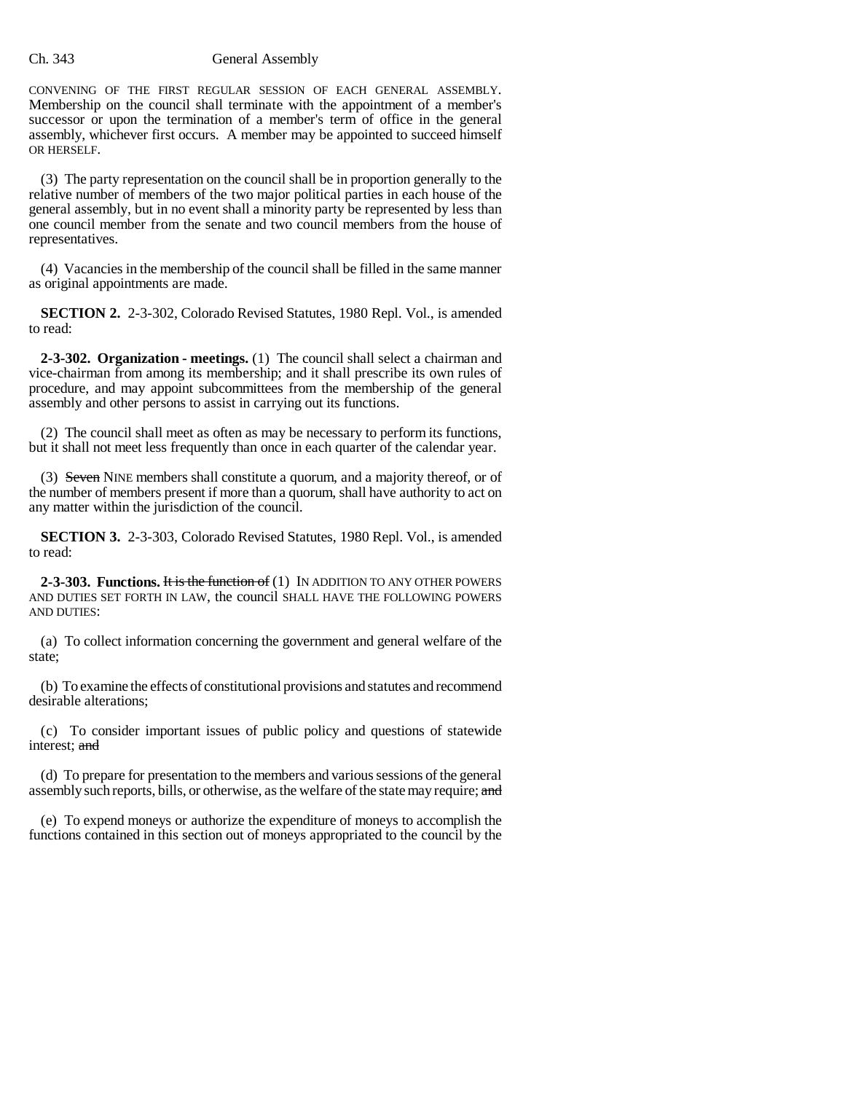#### Ch. 343 General Assembly

CONVENING OF THE FIRST REGULAR SESSION OF EACH GENERAL ASSEMBLY. Membership on the council shall terminate with the appointment of a member's successor or upon the termination of a member's term of office in the general assembly, whichever first occurs. A member may be appointed to succeed himself OR HERSELF.

(3) The party representation on the council shall be in proportion generally to the relative number of members of the two major political parties in each house of the general assembly, but in no event shall a minority party be represented by less than one council member from the senate and two council members from the house of representatives.

(4) Vacancies in the membership of the council shall be filled in the same manner as original appointments are made.

**SECTION 2.** 2-3-302, Colorado Revised Statutes, 1980 Repl. Vol., is amended to read:

**2-3-302. Organization - meetings.** (1) The council shall select a chairman and vice-chairman from among its membership; and it shall prescribe its own rules of procedure, and may appoint subcommittees from the membership of the general assembly and other persons to assist in carrying out its functions.

(2) The council shall meet as often as may be necessary to perform its functions, but it shall not meet less frequently than once in each quarter of the calendar year.

(3) Seven NINE members shall constitute a quorum, and a majority thereof, or of the number of members present if more than a quorum, shall have authority to act on any matter within the jurisdiction of the council.

**SECTION 3.** 2-3-303, Colorado Revised Statutes, 1980 Repl. Vol., is amended to read:

**2-3-303. Functions. It is the function of (1) IN ADDITION TO ANY OTHER POWERS** AND DUTIES SET FORTH IN LAW, the council SHALL HAVE THE FOLLOWING POWERS AND DUTIES:

(a) To collect information concerning the government and general welfare of the state;

(b) To examine the effects of constitutional provisions and statutes and recommend desirable alterations;

(c) To consider important issues of public policy and questions of statewide interest; and

(d) To prepare for presentation to the members and various sessions of the general assembly such reports, bills, or otherwise, as the welfare of the state may require; and

(e) To expend moneys or authorize the expenditure of moneys to accomplish the functions contained in this section out of moneys appropriated to the council by the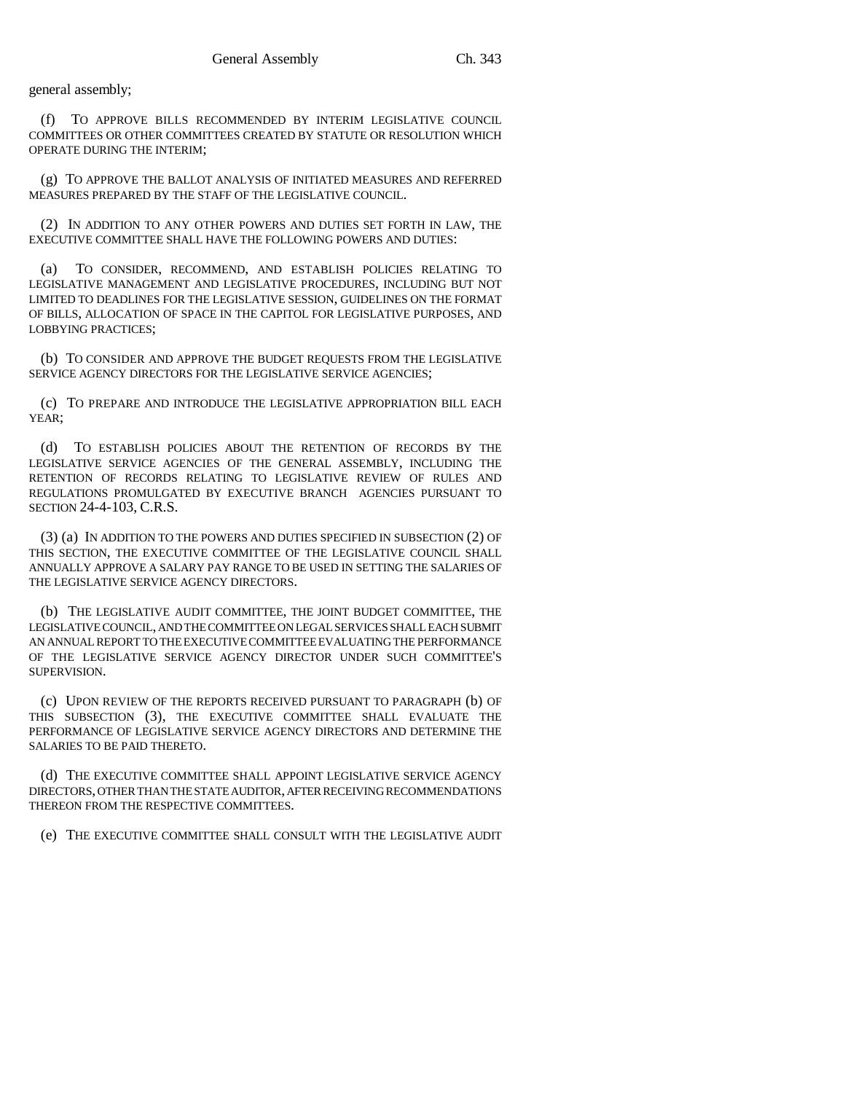general assembly;

(f) TO APPROVE BILLS RECOMMENDED BY INTERIM LEGISLATIVE COUNCIL COMMITTEES OR OTHER COMMITTEES CREATED BY STATUTE OR RESOLUTION WHICH OPERATE DURING THE INTERIM;

(g) TO APPROVE THE BALLOT ANALYSIS OF INITIATED MEASURES AND REFERRED MEASURES PREPARED BY THE STAFF OF THE LEGISLATIVE COUNCIL.

(2) IN ADDITION TO ANY OTHER POWERS AND DUTIES SET FORTH IN LAW, THE EXECUTIVE COMMITTEE SHALL HAVE THE FOLLOWING POWERS AND DUTIES:

(a) TO CONSIDER, RECOMMEND, AND ESTABLISH POLICIES RELATING TO LEGISLATIVE MANAGEMENT AND LEGISLATIVE PROCEDURES, INCLUDING BUT NOT LIMITED TO DEADLINES FOR THE LEGISLATIVE SESSION, GUIDELINES ON THE FORMAT OF BILLS, ALLOCATION OF SPACE IN THE CAPITOL FOR LEGISLATIVE PURPOSES, AND LOBBYING PRACTICES;

(b) TO CONSIDER AND APPROVE THE BUDGET REQUESTS FROM THE LEGISLATIVE SERVICE AGENCY DIRECTORS FOR THE LEGISLATIVE SERVICE AGENCIES;

(c) TO PREPARE AND INTRODUCE THE LEGISLATIVE APPROPRIATION BILL EACH YEAR;

(d) TO ESTABLISH POLICIES ABOUT THE RETENTION OF RECORDS BY THE LEGISLATIVE SERVICE AGENCIES OF THE GENERAL ASSEMBLY, INCLUDING THE RETENTION OF RECORDS RELATING TO LEGISLATIVE REVIEW OF RULES AND REGULATIONS PROMULGATED BY EXECUTIVE BRANCH AGENCIES PURSUANT TO SECTION 24-4-103, C.R.S.

(3) (a) IN ADDITION TO THE POWERS AND DUTIES SPECIFIED IN SUBSECTION (2) OF THIS SECTION, THE EXECUTIVE COMMITTEE OF THE LEGISLATIVE COUNCIL SHALL ANNUALLY APPROVE A SALARY PAY RANGE TO BE USED IN SETTING THE SALARIES OF THE LEGISLATIVE SERVICE AGENCY DIRECTORS.

(b) THE LEGISLATIVE AUDIT COMMITTEE, THE JOINT BUDGET COMMITTEE, THE LEGISLATIVE COUNCIL, AND THE COMMITTEE ON LEGAL SERVICES SHALL EACH SUBMIT AN ANNUAL REPORT TO THE EXECUTIVE COMMITTEE EVALUATING THE PERFORMANCE OF THE LEGISLATIVE SERVICE AGENCY DIRECTOR UNDER SUCH COMMITTEE'S SUPERVISION.

(c) UPON REVIEW OF THE REPORTS RECEIVED PURSUANT TO PARAGRAPH (b) OF THIS SUBSECTION (3), THE EXECUTIVE COMMITTEE SHALL EVALUATE THE PERFORMANCE OF LEGISLATIVE SERVICE AGENCY DIRECTORS AND DETERMINE THE SALARIES TO BE PAID THERETO.

(d) THE EXECUTIVE COMMITTEE SHALL APPOINT LEGISLATIVE SERVICE AGENCY DIRECTORS, OTHER THAN THE STATE AUDITOR, AFTER RECEIVING RECOMMENDATIONS THEREON FROM THE RESPECTIVE COMMITTEES.

(e) THE EXECUTIVE COMMITTEE SHALL CONSULT WITH THE LEGISLATIVE AUDIT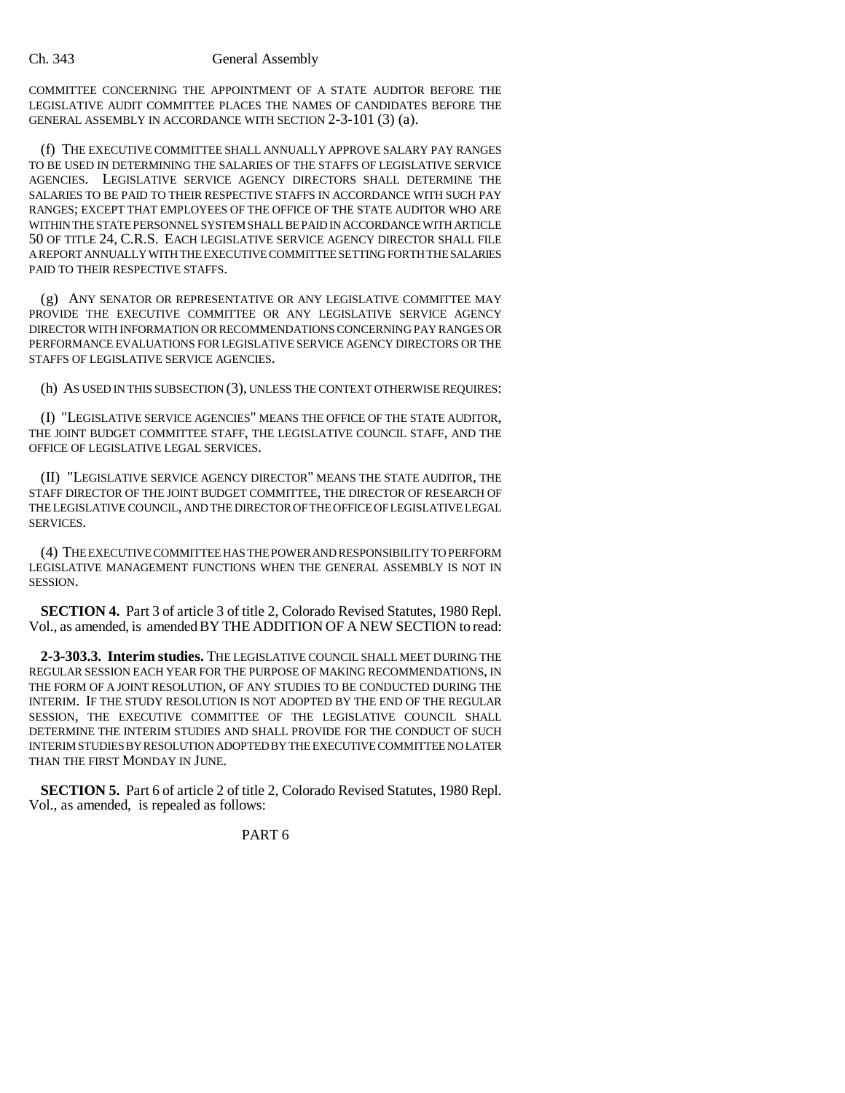#### Ch. 343 General Assembly

COMMITTEE CONCERNING THE APPOINTMENT OF A STATE AUDITOR BEFORE THE LEGISLATIVE AUDIT COMMITTEE PLACES THE NAMES OF CANDIDATES BEFORE THE GENERAL ASSEMBLY IN ACCORDANCE WITH SECTION 2-3-101 (3) (a).

(f) THE EXECUTIVE COMMITTEE SHALL ANNUALLY APPROVE SALARY PAY RANGES TO BE USED IN DETERMINING THE SALARIES OF THE STAFFS OF LEGISLATIVE SERVICE AGENCIES. LEGISLATIVE SERVICE AGENCY DIRECTORS SHALL DETERMINE THE SALARIES TO BE PAID TO THEIR RESPECTIVE STAFFS IN ACCORDANCE WITH SUCH PAY RANGES; EXCEPT THAT EMPLOYEES OF THE OFFICE OF THE STATE AUDITOR WHO ARE WITHIN THE STATE PERSONNEL SYSTEM SHALL BE PAID IN ACCORDANCE WITH ARTICLE 50 OF TITLE 24, C.R.S. EACH LEGISLATIVE SERVICE AGENCY DIRECTOR SHALL FILE A REPORT ANNUALLY WITH THE EXECUTIVE COMMITTEE SETTING FORTH THE SALARIES PAID TO THEIR RESPECTIVE STAFFS.

(g) ANY SENATOR OR REPRESENTATIVE OR ANY LEGISLATIVE COMMITTEE MAY PROVIDE THE EXECUTIVE COMMITTEE OR ANY LEGISLATIVE SERVICE AGENCY DIRECTOR WITH INFORMATION OR RECOMMENDATIONS CONCERNING PAY RANGES OR PERFORMANCE EVALUATIONS FOR LEGISLATIVE SERVICE AGENCY DIRECTORS OR THE STAFFS OF LEGISLATIVE SERVICE AGENCIES.

(h) AS USED IN THIS SUBSECTION (3), UNLESS THE CONTEXT OTHERWISE REQUIRES:

(I) "LEGISLATIVE SERVICE AGENCIES" MEANS THE OFFICE OF THE STATE AUDITOR, THE JOINT BUDGET COMMITTEE STAFF, THE LEGISLATIVE COUNCIL STAFF, AND THE OFFICE OF LEGISLATIVE LEGAL SERVICES.

(II) "LEGISLATIVE SERVICE AGENCY DIRECTOR" MEANS THE STATE AUDITOR, THE STAFF DIRECTOR OF THE JOINT BUDGET COMMITTEE, THE DIRECTOR OF RESEARCH OF THE LEGISLATIVE COUNCIL, AND THE DIRECTOR OF THE OFFICE OF LEGISLATIVE LEGAL SERVICES.

(4) THE EXECUTIVE COMMITTEE HAS THE POWER AND RESPONSIBILITY TO PERFORM LEGISLATIVE MANAGEMENT FUNCTIONS WHEN THE GENERAL ASSEMBLY IS NOT IN SESSION.

**SECTION 4.** Part 3 of article 3 of title 2, Colorado Revised Statutes, 1980 Repl. Vol., as amended, is amended BY THE ADDITION OF A NEW SECTION to read:

**2-3-303.3. Interim studies.** THE LEGISLATIVE COUNCIL SHALL MEET DURING THE REGULAR SESSION EACH YEAR FOR THE PURPOSE OF MAKING RECOMMENDATIONS, IN THE FORM OF A JOINT RESOLUTION, OF ANY STUDIES TO BE CONDUCTED DURING THE INTERIM. IF THE STUDY RESOLUTION IS NOT ADOPTED BY THE END OF THE REGULAR SESSION, THE EXECUTIVE COMMITTEE OF THE LEGISLATIVE COUNCIL SHALL DETERMINE THE INTERIM STUDIES AND SHALL PROVIDE FOR THE CONDUCT OF SUCH INTERIM STUDIES BY RESOLUTION ADOPTED BY THE EXECUTIVE COMMITTEE NO LATER THAN THE FIRST MONDAY IN JUNE.

**SECTION 5.** Part 6 of article 2 of title 2, Colorado Revised Statutes, 1980 Repl. Vol., as amended, is repealed as follows:

PART 6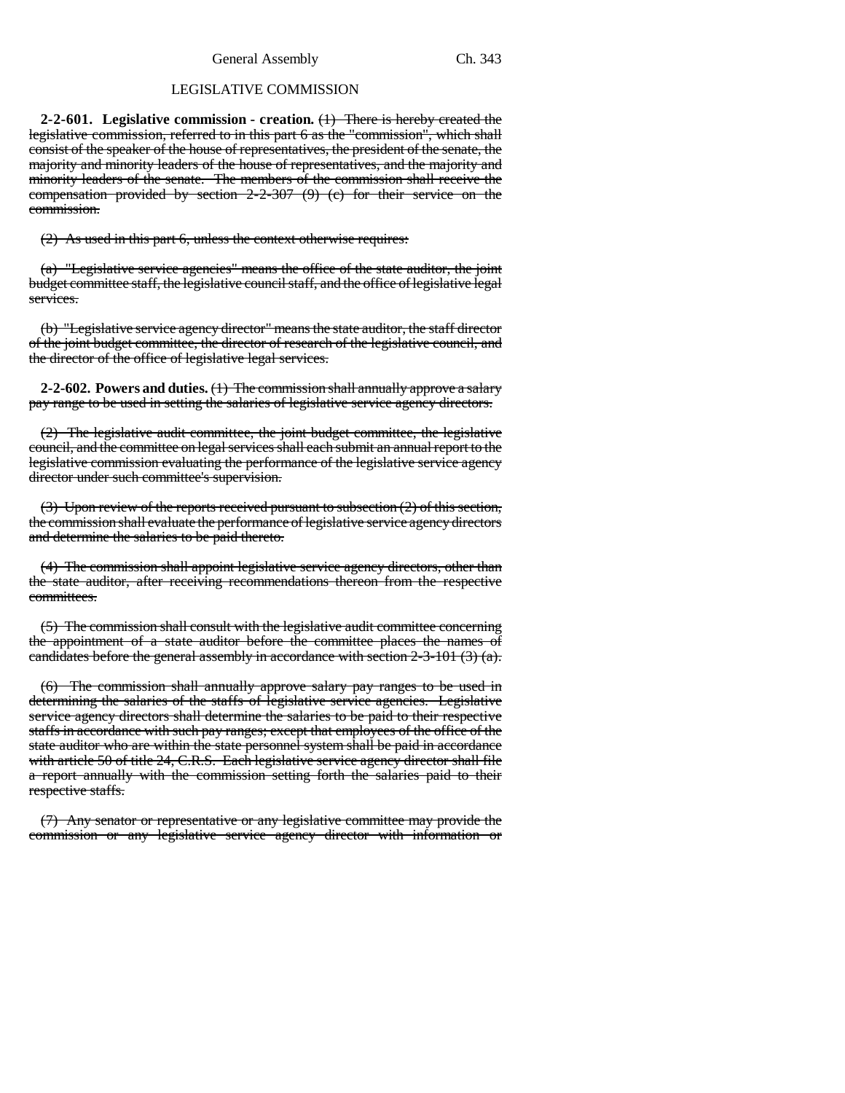General Assembly Ch. 343

### LEGISLATIVE COMMISSION

**2-2-601. Legislative commission - creation.** (1) There is hereby created the legislative commission, referred to in this part 6 as the "commission", which shall consist of the speaker of the house of representatives, the president of the senate, the majority and minority leaders of the house of representatives, and the majority and minority leaders of the senate. The members of the commission shall receive the compensation provided by section 2-2-307 (9) (c) for their service on the commission.

 $(2)$  As used in this part 6, unless the context otherwise requires:

(a) "Legislative service agencies" means the office of the state auditor, the joint budget committee staff, the legislative council staff, and the office of legislative legal services.

(b) "Legislative service agency director" means the state auditor, the staff director of the joint budget committee, the director of research of the legislative council, and the director of the office of legislative legal services.

**2-2-602. Powers and duties.** (1) The commission shall annually approve a salary pay range to be used in setting the salaries of legislative service agency directors.

(2) The legislative audit committee, the joint budget committee, the legislative council, and the committee on legal services shall each submit an annual report to the legislative commission evaluating the performance of the legislative service agency director under such committee's supervision.

(3) Upon review of the reports received pursuant to subsection (2) of this section, the commission shall evaluate the performance of legislative service agency directors and determine the salaries to be paid thereto.

(4) The commission shall appoint legislative service agency directors, other than the state auditor, after receiving recommendations thereon from the respective committees.

(5) The commission shall consult with the legislative audit committee concerning the appointment of a state auditor before the committee places the names of candidates before the general assembly in accordance with section  $2-3-101$  (3) (a).

(6) The commission shall annually approve salary pay ranges to be used in determining the salaries of the staffs of legislative service agencies. Legislative service agency directors shall determine the salaries to be paid to their respective staffs in accordance with such pay ranges; except that employees of the office of the state auditor who are within the state personnel system shall be paid in accordance with article 50 of title 24, C.R.S. Each legislative service agency director shall file a report annually with the commission setting forth the salaries paid to their respective staffs.

(7) Any senator or representative or any legislative committee may provide the commission or any legislative service agency director with information or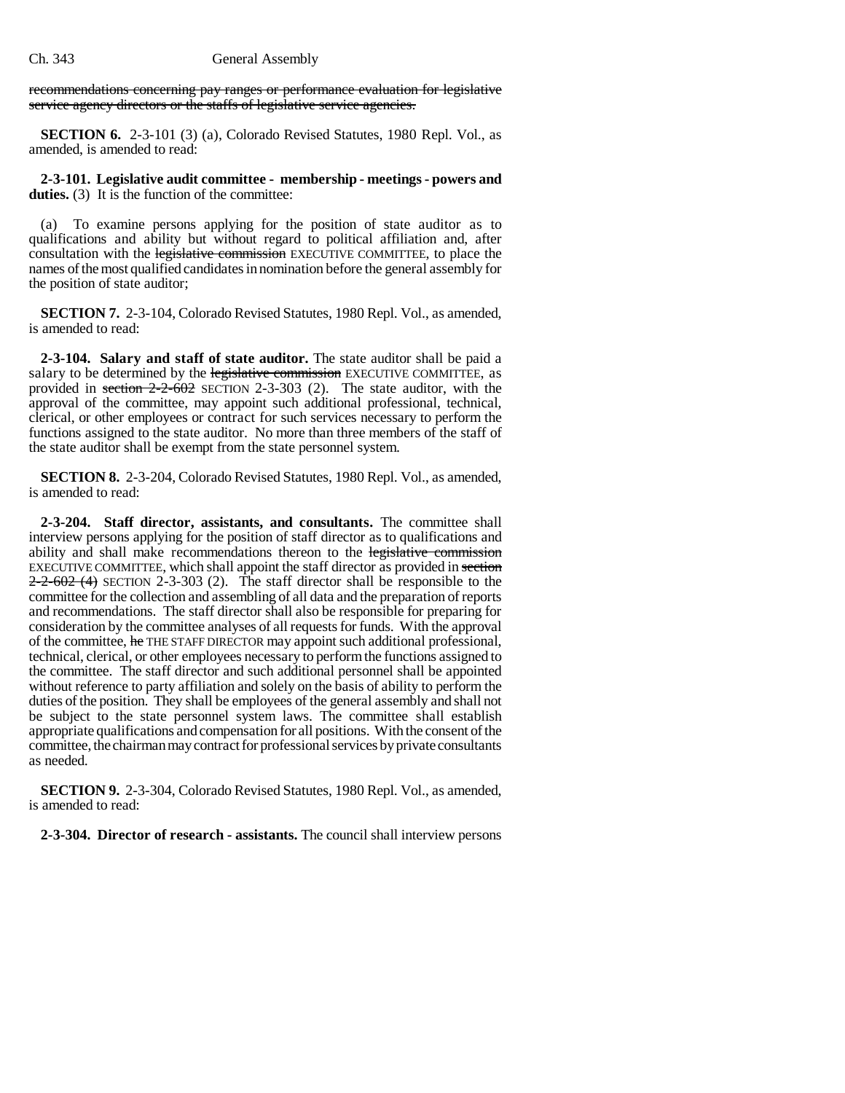recommendations concerning pay ranges or performance evaluation for legislative service agency directors or the staffs of legislative service agencies.

**SECTION 6.** 2-3-101 (3) (a), Colorado Revised Statutes, 1980 Repl. Vol., as amended, is amended to read:

**2-3-101. Legislative audit committee - membership - meetings - powers and** duties. (3) It is the function of the committee:

(a) To examine persons applying for the position of state auditor as to qualifications and ability but without regard to political affiliation and, after consultation with the legislative commission EXECUTIVE COMMITTEE, to place the names of the most qualified candidates in nomination before the general assembly for the position of state auditor;

**SECTION 7.** 2-3-104, Colorado Revised Statutes, 1980 Repl. Vol., as amended, is amended to read:

**2-3-104. Salary and staff of state auditor.** The state auditor shall be paid a salary to be determined by the legislative commission EXECUTIVE COMMITTEE, as provided in section  $2-2-602$  SECTION 2-3-303 (2). The state auditor, with the approval of the committee, may appoint such additional professional, technical, clerical, or other employees or contract for such services necessary to perform the functions assigned to the state auditor. No more than three members of the staff of the state auditor shall be exempt from the state personnel system.

**SECTION 8.** 2-3-204, Colorado Revised Statutes, 1980 Repl. Vol., as amended, is amended to read:

**2-3-204. Staff director, assistants, and consultants.** The committee shall interview persons applying for the position of staff director as to qualifications and ability and shall make recommendations thereon to the legislative commission EXECUTIVE COMMITTEE, which shall appoint the staff director as provided in section  $2-2-602$  (4) SECTION 2-3-303 (2). The staff director shall be responsible to the committee for the collection and assembling of all data and the preparation of reports and recommendations. The staff director shall also be responsible for preparing for consideration by the committee analyses of all requests for funds. With the approval of the committee, he THE STAFF DIRECTOR may appoint such additional professional, technical, clerical, or other employees necessary to perform the functions assigned to the committee. The staff director and such additional personnel shall be appointed without reference to party affiliation and solely on the basis of ability to perform the duties of the position. They shall be employees of the general assembly and shall not be subject to the state personnel system laws. The committee shall establish appropriate qualifications and compensation for all positions. With the consent of the committee, the chairman may contract for professional services by private consultants as needed.

**SECTION 9.** 2-3-304, Colorado Revised Statutes, 1980 Repl. Vol., as amended, is amended to read:

**2-3-304. Director of research - assistants.** The council shall interview persons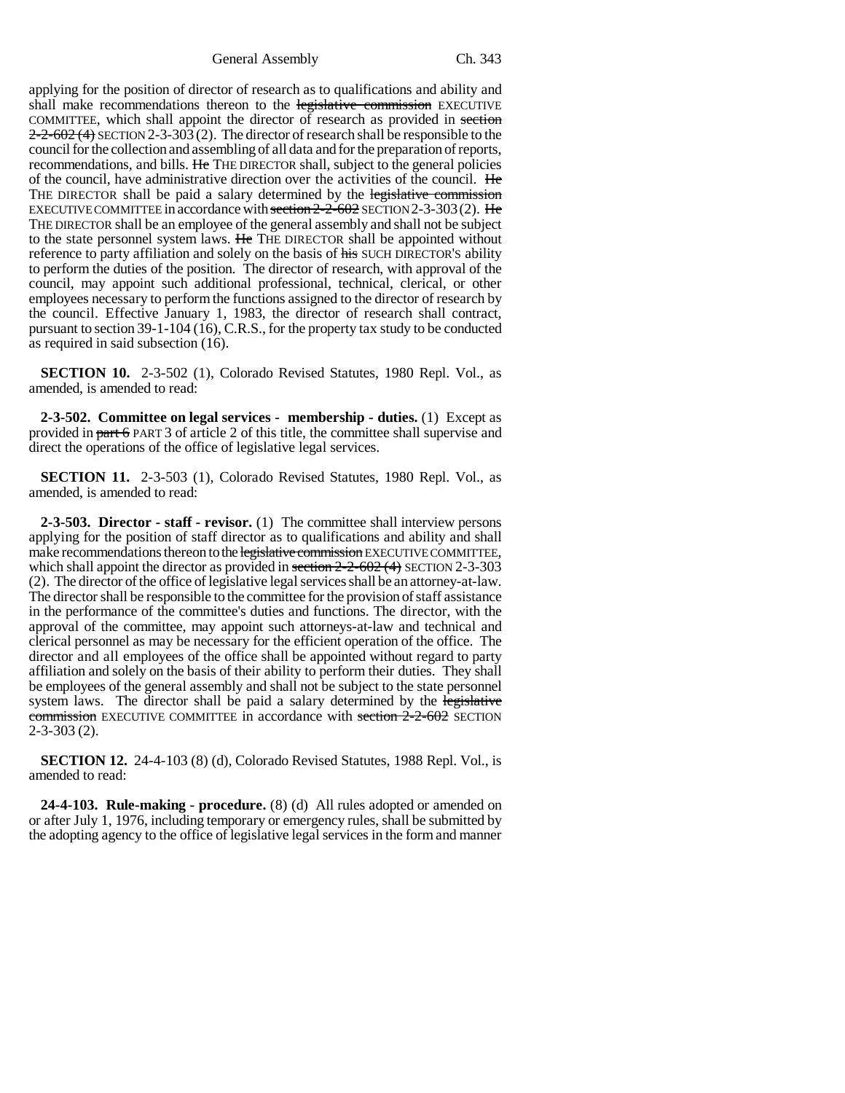General Assembly Ch. 343

applying for the position of director of research as to qualifications and ability and shall make recommendations thereon to the legislative commission EXECUTIVE COMMITTEE, which shall appoint the director of research as provided in section  $2-2-602$  (4) SECTION 2-3-303 (2). The director of research shall be responsible to the council for the collection and assembling of all data and for the preparation of reports, recommendations, and bills. He THE DIRECTOR shall, subject to the general policies of the council, have administrative direction over the activities of the council. He THE DIRECTOR shall be paid a salary determined by the legislative commission EXECUTIVE COMMITTEE in accordance with section  $2-2-602$  SECTION 2-3-303(2). He THE DIRECTOR shall be an employee of the general assembly and shall not be subject to the state personnel system laws. He THE DIRECTOR shall be appointed without reference to party affiliation and solely on the basis of his SUCH DIRECTOR'S ability to perform the duties of the position. The director of research, with approval of the council, may appoint such additional professional, technical, clerical, or other employees necessary to perform the functions assigned to the director of research by the council. Effective January 1, 1983, the director of research shall contract, pursuant to section 39-1-104 (16), C.R.S., for the property tax study to be conducted as required in said subsection (16).

**SECTION 10.** 2-3-502 (1), Colorado Revised Statutes, 1980 Repl. Vol., as amended, is amended to read:

**2-3-502. Committee on legal services - membership - duties.** (1) Except as provided in part 6 PART 3 of article 2 of this title, the committee shall supervise and direct the operations of the office of legislative legal services.

**SECTION 11.** 2-3-503 (1), Colorado Revised Statutes, 1980 Repl. Vol., as amended, is amended to read:

**2-3-503. Director - staff - revisor.** (1) The committee shall interview persons applying for the position of staff director as to qualifications and ability and shall make recommendations thereon to the legislative commission EXECUTIVE COMMITTEE, which shall appoint the director as provided in section  $2-2-602(4)$  SECTION 2-3-303 (2). The director of the office of legislative legal services shall be an attorney-at-law. The director shall be responsible to the committee for the provision of staff assistance in the performance of the committee's duties and functions. The director, with the approval of the committee, may appoint such attorneys-at-law and technical and clerical personnel as may be necessary for the efficient operation of the office. The director and all employees of the office shall be appointed without regard to party affiliation and solely on the basis of their ability to perform their duties. They shall be employees of the general assembly and shall not be subject to the state personnel system laws. The director shall be paid a salary determined by the legislative commission EXECUTIVE COMMITTEE in accordance with section 2-2-602 SECTION 2-3-303 (2).

**SECTION 12.** 24-4-103 (8) (d), Colorado Revised Statutes, 1988 Repl. Vol., is amended to read:

**24-4-103. Rule-making - procedure.** (8) (d) All rules adopted or amended on or after July 1, 1976, including temporary or emergency rules, shall be submitted by the adopting agency to the office of legislative legal services in the form and manner